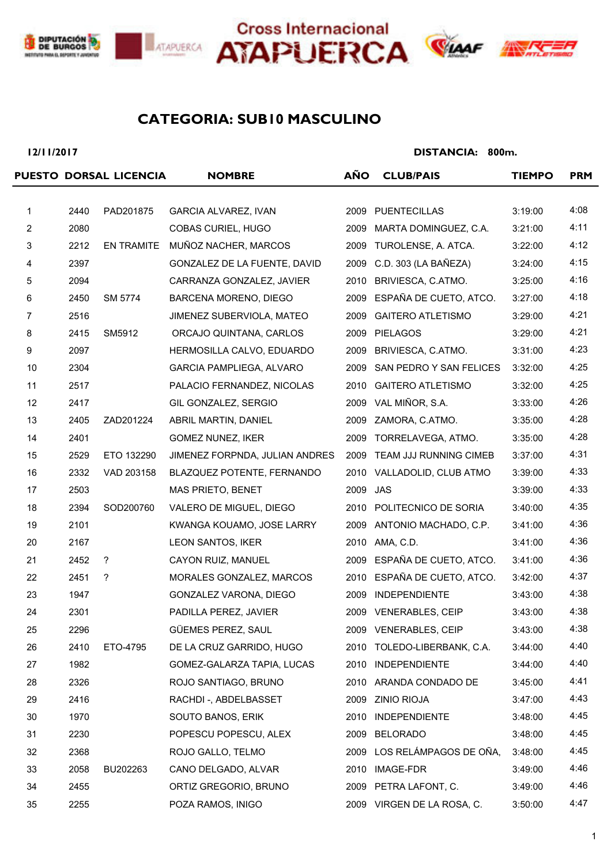





### **SUB10 MASCULINO CATEGORIA:**

**12/11/2017**

|                |      | PUESTO DORSAL LICENCIA | <b>NOMBRE</b>                  | <b>AÑO</b> | <b>CLUB/PAIS</b>            | <b>TIEMPO</b> | <b>PRM</b> |
|----------------|------|------------------------|--------------------------------|------------|-----------------------------|---------------|------------|
|                |      |                        |                                |            |                             |               |            |
| $\mathbf{1}$   | 2440 | PAD201875              | GARCIA ALVAREZ, IVAN           | 2009       | <b>PUENTECILLAS</b>         | 3:19:00       | 4:08       |
| $\overline{c}$ | 2080 |                        | COBAS CURIEL, HUGO             | 2009       | MARTA DOMINGUEZ, C.A.       | 3:21:00       | 4:11       |
| $\mathbf{3}$   | 2212 | EN TRAMITE             | MUÑOZ NACHER, MARCOS           | 2009       | TUROLENSE, A. ATCA.         | 3:22:00       | 4:12       |
| $\overline{4}$ | 2397 |                        | GONZALEZ DE LA FUENTE, DAVID   | 2009       | C.D. 303 (LA BAÑEZA)        | 3:24:00       | 4:15       |
| 5              | 2094 |                        | CARRANZA GONZALEZ, JAVIER      |            | 2010 BRIVIESCA, C.ATMO.     | 3:25:00       | 4:16       |
| 6              | 2450 | SM 5774                | BARCENA MORENO, DIEGO          |            | 2009 ESPAÑA DE CUETO, ATCO. | 3:27:00       | 4:18       |
| $\overline{7}$ | 2516 |                        | JIMENEZ SUBERVIOLA, MATEO      | 2009       | <b>GAITERO ATLETISMO</b>    | 3:29:00       | 4:21       |
| 8              | 2415 | SM5912                 | ORCAJO QUINTANA, CARLOS        |            | 2009 PIELAGOS               | 3:29:00       | 4:21       |
| 9              | 2097 |                        | HERMOSILLA CALVO, EDUARDO      | 2009       | BRIVIESCA, C.ATMO.          | 3:31:00       | 4:23       |
| 10             | 2304 |                        | GARCIA PAMPLIEGA, ALVARO       | 2009       | SAN PEDRO Y SAN FELICES     | 3:32:00       | 4:25       |
| 11             | 2517 |                        | PALACIO FERNANDEZ, NICOLAS     |            | 2010 GAITERO ATLETISMO      | 3:32:00       | 4:25       |
| 12             | 2417 |                        | GIL GONZALEZ, SERGIO           | 2009       | VAL MIÑOR, S.A.             | 3:33:00       | 4:26       |
| 13             | 2405 | ZAD201224              | ABRIL MARTIN, DANIEL           | 2009       | ZAMORA, C.ATMO.             | 3:35:00       | 4:28       |
| 14             | 2401 |                        | <b>GOMEZ NUNEZ, IKER</b>       | 2009       | TORRELAVEGA, ATMO.          | 3:35:00       | 4:28       |
| 15             | 2529 | ETO 132290             | JIMENEZ FORPNDA, JULIAN ANDRES | 2009       | TEAM JJJ RUNNING CIMEB      | 3:37:00       | 4:31       |
| 16             | 2332 | VAD 203158             | BLAZQUEZ POTENTE, FERNANDO     |            | 2010 VALLADOLID, CLUB ATMO  | 3:39:00       | 4:33       |
| 17             | 2503 |                        | MAS PRIETO, BENET              | 2009 JAS   |                             | 3:39:00       | 4:33       |
| 18             | 2394 | SOD200760              | VALERO DE MIGUEL, DIEGO        |            | 2010 POLITECNICO DE SORIA   | 3:40:00       | 4:35       |
| 19             | 2101 |                        | KWANGA KOUAMO, JOSE LARRY      |            | 2009 ANTONIO MACHADO, C.P.  | 3:41:00       | 4:36       |
| 20             | 2167 |                        | LEON SANTOS, IKER              |            | 2010 AMA, C.D.              | 3:41:00       | 4:36       |
| 21             | 2452 | ?                      | CAYON RUIZ, MANUEL             | 2009       | ESPAÑA DE CUETO, ATCO.      | 3:41:00       | 4:36       |
| 22             | 2451 | ?                      | MORALES GONZALEZ, MARCOS       |            | 2010 ESPAÑA DE CUETO, ATCO. | 3:42:00       | 4:37       |
| 23             | 1947 |                        | GONZALEZ VARONA, DIEGO         | 2009       | <b>INDEPENDIENTE</b>        | 3:43:00       | 4:38       |
| 24             | 2301 |                        | PADILLA PEREZ, JAVIER          |            | 2009 VENERABLES, CEIP       | 3:43:00       | 4:38       |
| 25             | 2296 |                        | GÜEMES PEREZ, SAUL             |            | 2009 VENERABLES, CEIP       | 3:43:00       | 4:38       |
| 26             | 2410 | ETO-4795               | DE LA CRUZ GARRIDO, HUGO       |            | 2010 TOLEDO-LIBERBANK, C.A. | 3:44:00       | 4:40       |
| 27             | 1982 |                        | GOMEZ-GALARZA TAPIA, LUCAS     |            | 2010 INDEPENDIENTE          | 3:44:00       | 4:40       |
| 28             | 2326 |                        | ROJO SANTIAGO, BRUNO           |            | 2010 ARANDA CONDADO DE      | 3:45:00       | 4:41       |
| 29             | 2416 |                        | RACHDI-, ABDELBASSET           |            | 2009 ZINIO RIOJA            | 3:47:00       | 4:43       |
| 30             | 1970 |                        | SOUTO BANOS, ERIK              | 2010       | INDEPENDIENTE               | 3:48:00       | 4:45       |
| 31             | 2230 |                        | POPESCU POPESCU, ALEX          | 2009       | <b>BELORADO</b>             | 3:48:00       | 4:45       |
| 32             | 2368 |                        | ROJO GALLO, TELMO              |            | 2009 LOS RELÁMPAGOS DE OÑA, | 3:48:00       | 4:45       |
| 33             | 2058 | BU202263               | CANO DELGADO, ALVAR            | 2010       | IMAGE-FDR                   | 3:49:00       | 4:46       |
| 34             | 2455 |                        | ORTIZ GREGORIO, BRUNO          |            | 2009 PETRA LAFONT, C.       | 3:49:00       | 4:46       |
| 35             | 2255 |                        | POZA RAMOS, INIGO              |            | 2009 VIRGEN DE LA ROSA, C.  | 3:50:00       | 4:47       |
|                |      |                        |                                |            |                             |               |            |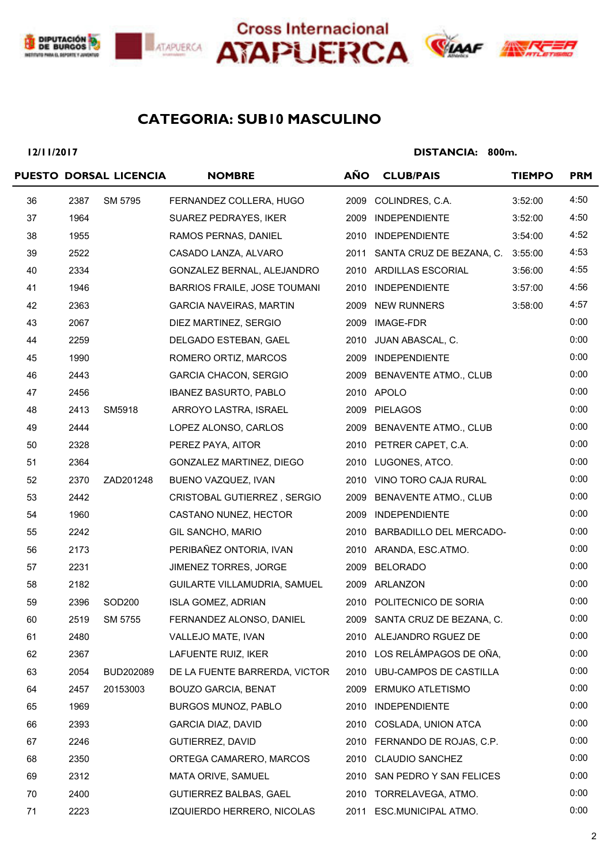





# **ANK**

## **SUB10 MASCULINO CATEGORIA:**

**12/11/2017**

|    |      | PUESTO DORSAL LICENCIA | <b>NOMBRE</b>                  | <b>AÑO</b> | <b>CLUB/PAIS</b>              | <b>TIEMPO</b> | <b>PRM</b> |
|----|------|------------------------|--------------------------------|------------|-------------------------------|---------------|------------|
| 36 | 2387 | SM 5795                | FERNANDEZ COLLERA, HUGO        |            | 2009 COLINDRES, C.A.          | 3:52:00       | 4:50       |
| 37 | 1964 |                        | SUAREZ PEDRAYES, IKER          |            | 2009 INDEPENDIENTE            | 3:52:00       | 4:50       |
| 38 | 1955 |                        | RAMOS PERNAS, DANIEL           |            | 2010 INDEPENDIENTE            | 3:54:00       | 4:52       |
| 39 | 2522 |                        | CASADO LANZA, ALVARO           |            | 2011 SANTA CRUZ DE BEZANA, C. | 3:55:00       | 4:53       |
| 40 | 2334 |                        | GONZALEZ BERNAL, ALEJANDRO     |            | 2010 ARDILLAS ESCORIAL        | 3:56:00       | 4:55       |
| 41 | 1946 |                        | BARRIOS FRAILE, JOSE TOUMANI   |            | 2010 INDEPENDIENTE            | 3:57:00       | 4:56       |
| 42 | 2363 |                        | <b>GARCIA NAVEIRAS, MARTIN</b> |            | 2009 NEW RUNNERS              | 3:58:00       | 4:57       |
| 43 | 2067 |                        | DIEZ MARTINEZ, SERGIO          |            | 2009 IMAGE-FDR                |               | 0:00       |
| 44 | 2259 |                        | DELGADO ESTEBAN, GAEL          |            | 2010 JUAN ABASCAL, C.         |               | 0:00       |
| 45 | 1990 |                        | ROMERO ORTIZ, MARCOS           |            | 2009 INDEPENDIENTE            |               | 0:00       |
| 46 | 2443 |                        | <b>GARCIA CHACON, SERGIO</b>   |            | 2009 BENAVENTE ATMO., CLUB    |               | 0:00       |
| 47 | 2456 |                        | <b>IBANEZ BASURTO, PABLO</b>   |            | 2010 APOLO                    |               | 0:00       |
| 48 | 2413 | SM5918                 | ARROYO LASTRA, ISRAEL          |            | 2009 PIELAGOS                 |               | 0:00       |
| 49 | 2444 |                        | LOPEZ ALONSO, CARLOS           |            | 2009 BENAVENTE ATMO., CLUB    |               | 0:00       |
| 50 | 2328 |                        | PEREZ PAYA, AITOR              |            | 2010 PETRER CAPET, C.A.       |               | 0:00       |
| 51 | 2364 |                        | GONZALEZ MARTINEZ, DIEGO       |            | 2010 LUGONES, ATCO.           |               | 0:00       |
| 52 | 2370 | ZAD201248              | BUENO VAZQUEZ, IVAN            |            | 2010 VINO TORO CAJA RURAL     |               | 0:00       |
| 53 | 2442 |                        | CRISTOBAL GUTIERREZ, SERGIO    |            | 2009 BENAVENTE ATMO., CLUB    |               | 0:00       |
| 54 | 1960 |                        | CASTANO NUNEZ, HECTOR          |            | 2009 INDEPENDIENTE            |               | 0:00       |
| 55 | 2242 |                        | GIL SANCHO, MARIO              |            | 2010 BARBADILLO DEL MERCADO-  |               | 0:00       |
| 56 | 2173 |                        | PERIBAÑEZ ONTORIA, IVAN        |            | 2010 ARANDA, ESC.ATMO.        |               | 0:00       |
| 57 | 2231 |                        | JIMENEZ TORRES, JORGE          |            | 2009 BELORADO                 |               | 0:00       |
| 58 | 2182 |                        | GUILARTE VILLAMUDRIA, SAMUEL   |            | 2009 ARLANZON                 |               | 0:00       |
| 59 | 2396 | SOD <sub>200</sub>     | <b>ISLA GOMEZ, ADRIAN</b>      |            | 2010 POLITECNICO DE SORIA     |               | 0:00       |
| 60 | 2519 | SM 5755                | FERNANDEZ ALONSO, DANIEL       |            | 2009 SANTA CRUZ DE BEZANA, C. |               | 0:00       |
| 61 | 2480 |                        | VALLEJO MATE, IVAN             |            | 2010 ALEJANDRO RGUEZ DE       |               | 0:00       |
| 62 | 2367 |                        | LAFUENTE RUIZ, IKER            |            | 2010 LOS RELÁMPAGOS DE OÑA,   |               | 0:00       |
| 63 | 2054 | BUD202089              | DE LA FUENTE BARRERDA, VICTOR  |            | 2010 UBU-CAMPOS DE CASTILLA   |               | 0:00       |
| 64 | 2457 | 20153003               | <b>BOUZO GARCIA, BENAT</b>     | 2009       | <b>ERMUKO ATLETISMO</b>       |               | 0:00       |
| 65 | 1969 |                        | BURGOS MUNOZ, PABLO            |            | 2010 INDEPENDIENTE            |               | 0:00       |
| 66 | 2393 |                        | <b>GARCIA DIAZ, DAVID</b>      | 2010       | COSLADA, UNION ATCA           |               | 0:00       |
| 67 | 2246 |                        | GUTIERREZ, DAVID               |            | 2010 FERNANDO DE ROJAS, C.P.  |               | 0:00       |
| 68 | 2350 |                        | ORTEGA CAMARERO, MARCOS        |            | 2010 CLAUDIO SANCHEZ          |               | 0:00       |
| 69 | 2312 |                        | MATA ORIVE, SAMUEL             |            | 2010 SAN PEDRO Y SAN FELICES  |               | 0:00       |
| 70 | 2400 |                        | GUTIERREZ BALBAS, GAEL         |            | 2010 TORRELAVEGA, ATMO.       |               | 0:00       |
| 71 | 2223 |                        | IZQUIERDO HERRERO, NICOLAS     | 2011       | ESC.MUNICIPAL ATMO.           |               | 0:00       |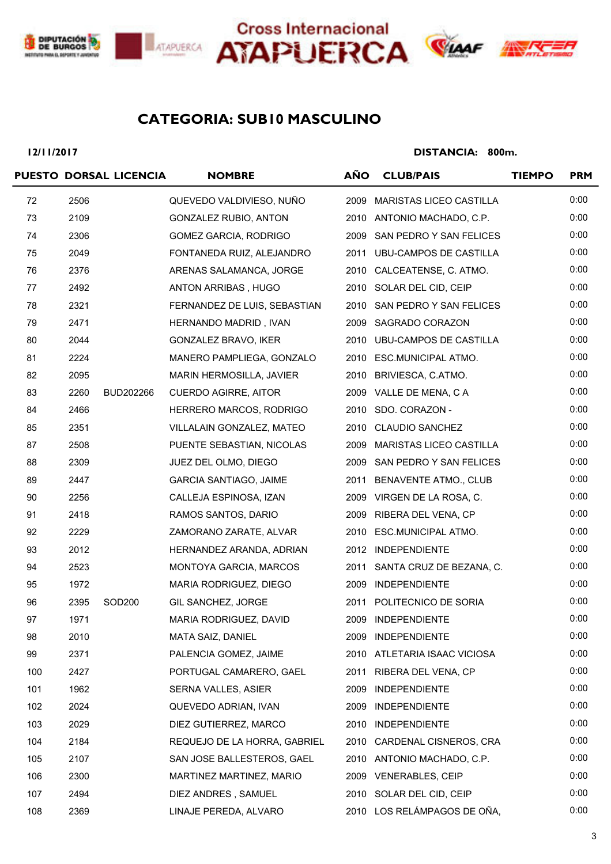





### **SUB10 MASCULINO CATEGORIA:**

**12/11/2017**

|     |      | PUESTO DORSAL LICENCIA | <b>NOMBRE</b>                 | <b>AÑO</b> | <b>CLUB/PAIS</b>               | <b>TIEMPO</b> | <b>PRM</b> |
|-----|------|------------------------|-------------------------------|------------|--------------------------------|---------------|------------|
| 72  | 2506 |                        | QUEVEDO VALDIVIESO, NUÑO      | 2009       | <b>MARISTAS LICEO CASTILLA</b> |               | 0:00       |
| 73  | 2109 |                        | GONZALEZ RUBIO, ANTON         |            | 2010 ANTONIO MACHADO, C.P.     |               | 0:00       |
| 74  | 2306 |                        | GOMEZ GARCIA, RODRIGO         |            | 2009 SAN PEDRO Y SAN FELICES   |               | 0:00       |
| 75  | 2049 |                        | FONTANEDA RUIZ, ALEJANDRO     |            | 2011 UBU-CAMPOS DE CASTILLA    |               | 0:00       |
| 76  | 2376 |                        | ARENAS SALAMANCA, JORGE       |            | 2010 CALCEATENSE, C. ATMO.     |               | 0:00       |
| 77  | 2492 |                        | ANTON ARRIBAS, HUGO           |            | 2010 SOLAR DEL CID, CEIP       |               | 0:00       |
| 78  | 2321 |                        | FERNANDEZ DE LUIS, SEBASTIAN  |            | 2010 SAN PEDRO Y SAN FELICES   |               | 0:00       |
| 79  | 2471 |                        | HERNANDO MADRID, IVAN         |            | 2009 SAGRADO CORAZON           |               | 0:00       |
| 80  | 2044 |                        | GONZALEZ BRAVO, IKER          |            | 2010 UBU-CAMPOS DE CASTILLA    |               | 0:00       |
| 81  | 2224 |                        | MANERO PAMPLIEGA, GONZALO     |            | 2010 ESC.MUNICIPAL ATMO.       |               | 0:00       |
| 82  | 2095 |                        | MARIN HERMOSILLA, JAVIER      |            | 2010 BRIVIESCA, C.ATMO.        |               | 0:00       |
| 83  | 2260 | BUD202266              | <b>CUERDO AGIRRE, AITOR</b>   |            | 2009 VALLE DE MENA, C A        |               | 0:00       |
| 84  | 2466 |                        | HERRERO MARCOS, RODRIGO       |            | 2010 SDO. CORAZON -            |               | 0:00       |
| 85  | 2351 |                        | VILLALAIN GONZALEZ, MATEO     |            | 2010 CLAUDIO SANCHEZ           |               | 0:00       |
| 87  | 2508 |                        | PUENTE SEBASTIAN, NICOLAS     | 2009       | MARISTAS LICEO CASTILLA        |               | 0:00       |
| 88  | 2309 |                        | JUEZ DEL OLMO, DIEGO          |            | 2009 SAN PEDRO Y SAN FELICES   |               | 0:00       |
| 89  | 2447 |                        | <b>GARCIA SANTIAGO, JAIME</b> |            | 2011 BENAVENTE ATMO., CLUB     |               | 0:00       |
| 90  | 2256 |                        | CALLEJA ESPINOSA, IZAN        |            | 2009 VIRGEN DE LA ROSA, C.     |               | 0:00       |
| 91  | 2418 |                        | RAMOS SANTOS, DARIO           |            | 2009 RIBERA DEL VENA, CP       |               | 0:00       |
| 92  | 2229 |                        | ZAMORANO ZARATE, ALVAR        |            | 2010 ESC.MUNICIPAL ATMO.       |               | 0:00       |
| 93  | 2012 |                        | HERNANDEZ ARANDA, ADRIAN      |            | 2012 INDEPENDIENTE             |               | 0:00       |
| 94  | 2523 |                        | MONTOYA GARCIA, MARCOS        |            | 2011 SANTA CRUZ DE BEZANA, C.  |               | 0:00       |
| 95  | 1972 |                        | MARIA RODRIGUEZ, DIEGO        |            | 2009 INDEPENDIENTE             |               | 0:00       |
| 96  | 2395 | SOD200                 | GIL SANCHEZ, JORGE            |            | 2011 POLITECNICO DE SORIA      |               | 0:00       |
| 97  | 1971 |                        | MARIA RODRIGUEZ, DAVID        | 2009       | INDEPENDIENTE                  |               | 0:00       |
| 98  | 2010 |                        | MATA SAIZ, DANIEL             |            | 2009 INDEPENDIENTE             |               | 0:00       |
| 99  | 2371 |                        | PALENCIA GOMEZ, JAIME         |            | 2010 ATLETARIA ISAAC VICIOSA   |               | 0:00       |
| 100 | 2427 |                        | PORTUGAL CAMARERO, GAEL       | 2011       | RIBERA DEL VENA, CP            |               | 0:00       |
| 101 | 1962 |                        | SERNA VALLES, ASIER           | 2009       | <b>INDEPENDIENTE</b>           |               | 0:00       |
| 102 | 2024 |                        | QUEVEDO ADRIAN, IVAN          |            | 2009 INDEPENDIENTE             |               | 0:00       |
| 103 | 2029 |                        | DIEZ GUTIERREZ, MARCO         |            | 2010 INDEPENDIENTE             |               | 0:00       |
| 104 | 2184 |                        | REQUEJO DE LA HORRA, GABRIEL  | 2010       | CARDENAL CISNEROS, CRA         |               | 0:00       |
| 105 | 2107 |                        | SAN JOSE BALLESTEROS, GAEL    |            | 2010 ANTONIO MACHADO, C.P.     |               | 0:00       |
| 106 | 2300 |                        | MARTINEZ MARTINEZ, MARIO      | 2009       | <b>VENERABLES, CEIP</b>        |               | 0:00       |
| 107 | 2494 |                        | DIEZ ANDRES, SAMUEL           |            | 2010 SOLAR DEL CID, CEIP       |               | 0:00       |
| 108 | 2369 |                        | LINAJE PEREDA, ALVARO         |            | 2010 LOS RELÁMPAGOS DE OÑA,    |               | 0:00       |
|     |      |                        |                               |            |                                |               |            |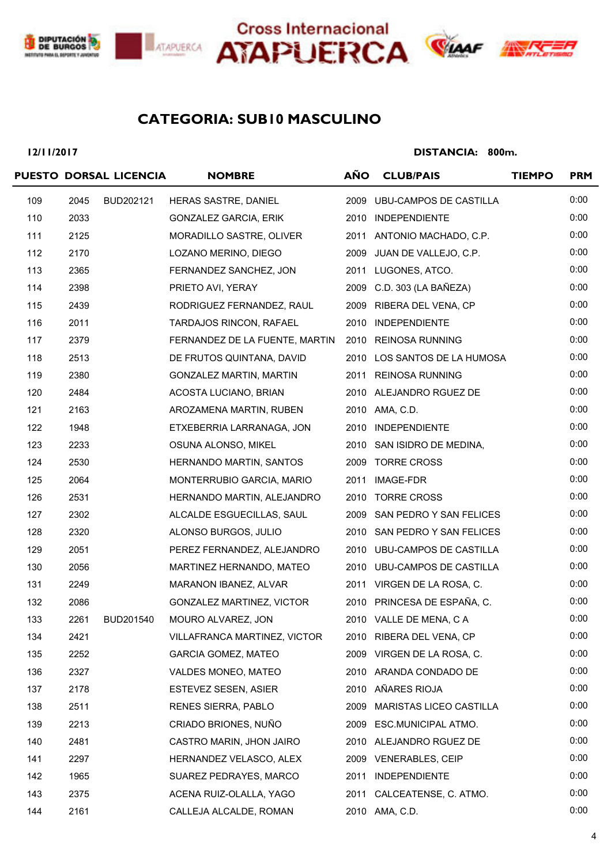





### **SUB10 MASCULINO CATEGORIA:**

**12/11/2017**

|     |      | PUESTO DORSAL LICENCIA | <b>NOMBRE</b>                                       | <b>AÑO</b> | <b>CLUB/PAIS</b>             | <b>TIEMPO</b> | <b>PRM</b> |
|-----|------|------------------------|-----------------------------------------------------|------------|------------------------------|---------------|------------|
| 109 | 2045 | BUD202121              | HERAS SASTRE, DANIEL                                |            | 2009 UBU-CAMPOS DE CASTILLA  |               | 0:00       |
| 110 | 2033 |                        | <b>GONZALEZ GARCIA, ERIK</b>                        |            | 2010 INDEPENDIENTE           |               | 0:00       |
| 111 | 2125 |                        | MORADILLO SASTRE, OLIVER                            |            | 2011 ANTONIO MACHADO, C.P.   |               | 0:00       |
| 112 | 2170 |                        | LOZANO MERINO, DIEGO                                |            | 2009 JUAN DE VALLEJO, C.P.   |               | 0:00       |
| 113 | 2365 |                        | FERNANDEZ SANCHEZ, JON                              |            | 2011 LUGONES, ATCO.          |               | 0:00       |
| 114 | 2398 |                        | PRIETO AVI, YERAY                                   |            | 2009 C.D. 303 (LA BAÑEZA)    |               | 0:00       |
| 115 | 2439 |                        | RODRIGUEZ FERNANDEZ, RAUL                           |            | 2009 RIBERA DEL VENA, CP     |               | 0:00       |
| 116 | 2011 |                        | TARDAJOS RINCON, RAFAEL                             |            | 2010 INDEPENDIENTE           |               | 0:00       |
| 117 | 2379 |                        | FERNANDEZ DE LA FUENTE, MARTIN 2010 REINOSA RUNNING |            |                              |               | 0:00       |
| 118 | 2513 |                        | DE FRUTOS QUINTANA, DAVID                           |            | 2010 LOS SANTOS DE LA HUMOSA |               | 0:00       |
| 119 | 2380 |                        | <b>GONZALEZ MARTIN, MARTIN</b>                      |            | 2011 REINOSA RUNNING         |               | 0:00       |
| 120 | 2484 |                        | ACOSTA LUCIANO, BRIAN                               |            | 2010 ALEJANDRO RGUEZ DE      |               | 0:00       |
| 121 | 2163 |                        | AROZAMENA MARTIN, RUBEN                             |            | 2010 AMA, C.D.               |               | 0:00       |
| 122 | 1948 |                        | ETXEBERRIA LARRANAGA, JON                           |            | 2010 INDEPENDIENTE           |               | 0:00       |
| 123 | 2233 |                        | OSUNA ALONSO, MIKEL                                 |            | 2010 SAN ISIDRO DE MEDINA,   |               | 0:00       |
| 124 | 2530 |                        | HERNANDO MARTIN, SANTOS                             |            | 2009 TORRE CROSS             |               | 0:00       |
| 125 | 2064 |                        | MONTERRUBIO GARCIA, MARIO                           |            | 2011 IMAGE-FDR               |               | 0:00       |
| 126 | 2531 |                        | HERNANDO MARTIN, ALEJANDRO                          |            | 2010 TORRE CROSS             |               | 0:00       |
| 127 | 2302 |                        | ALCALDE ESGUECILLAS, SAUL                           |            | 2009 SAN PEDRO Y SAN FELICES |               | 0:00       |
| 128 | 2320 |                        | ALONSO BURGOS, JULIO                                |            | 2010 SAN PEDRO Y SAN FELICES |               | 0:00       |
| 129 | 2051 |                        | PEREZ FERNANDEZ, ALEJANDRO                          |            | 2010 UBU-CAMPOS DE CASTILLA  |               | 0:00       |
| 130 | 2056 |                        | MARTINEZ HERNANDO, MATEO                            |            | 2010 UBU-CAMPOS DE CASTILLA  |               | 0:00       |
| 131 | 2249 |                        | MARANON IBANEZ, ALVAR                               |            | 2011 VIRGEN DE LA ROSA, C.   |               | 0:00       |
| 132 | 2086 |                        | <b>GONZALEZ MARTINEZ, VICTOR</b>                    |            | 2010 PRINCESA DE ESPAÑA, C.  |               | 0:00       |
| 133 | 2261 | BUD201540              | MOURO ALVAREZ, JON                                  |            | 2010 VALLE DE MENA, C A      |               | 0:00       |
| 134 | 2421 |                        | VILLAFRANCA MARTINEZ, VICTOR                        |            | 2010 RIBERA DEL VENA, CP     |               | 0:00       |
| 135 | 2252 |                        | <b>GARCIA GOMEZ, MATEO</b>                          |            | 2009 VIRGEN DE LA ROSA, C.   |               | 0:00       |
| 136 | 2327 |                        | VALDES MONEO, MATEO                                 |            | 2010 ARANDA CONDADO DE       |               | 0:00       |
| 137 | 2178 |                        | <b>ESTEVEZ SESEN, ASIER</b>                         | 2010       | AÑARES RIOJA                 |               | 0:00       |
| 138 | 2511 |                        | RENES SIERRA, PABLO                                 | 2009       | MARISTAS LICEO CASTILLA      |               | 0:00       |
| 139 | 2213 |                        | CRIADO BRIONES, NUÑO                                |            | 2009 ESC.MUNICIPAL ATMO.     |               | 0:00       |
| 140 | 2481 |                        | CASTRO MARIN, JHON JAIRO                            |            | 2010 ALEJANDRO RGUEZ DE      |               | 0:00       |
| 141 | 2297 |                        | HERNANDEZ VELASCO, ALEX                             |            | 2009 VENERABLES, CEIP        |               | 0:00       |
| 142 | 1965 |                        | SUAREZ PEDRAYES, MARCO                              |            | 2011 INDEPENDIENTE           |               | 0:00       |
| 143 | 2375 |                        | ACENA RUIZ-OLALLA, YAGO                             |            | 2011 CALCEATENSE, C. ATMO.   |               | 0:00       |
| 144 | 2161 |                        | CALLEJA ALCALDE, ROMAN                              |            | 2010 AMA, C.D.               |               | 0:00       |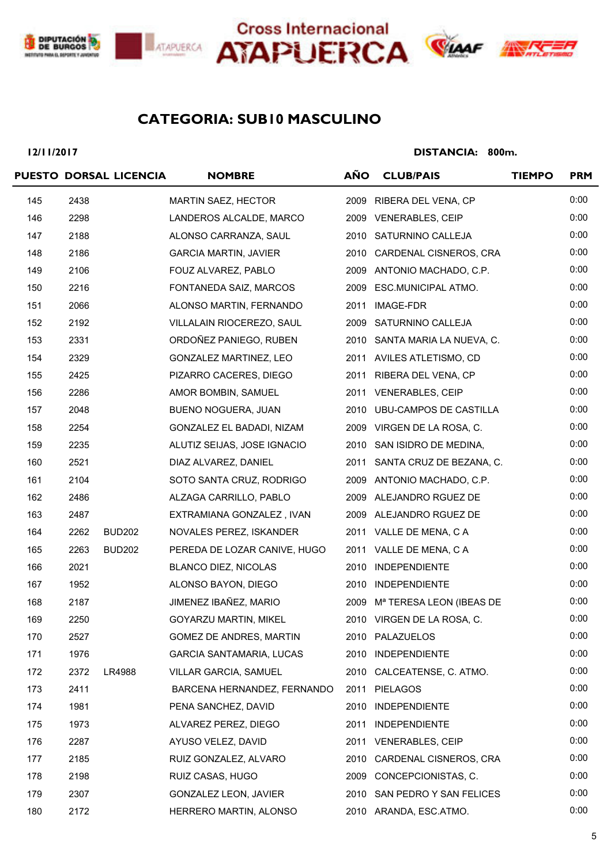





### **SUB10 MASCULINO CATEGORIA:**

**12/11/2017**

|     |      | PUESTO DORSAL LICENCIA | <b>NOMBRE</b>                   | <b>AÑO</b> | <b>CLUB/PAIS</b>              | <b>TIEMPO</b> | <b>PRM</b> |
|-----|------|------------------------|---------------------------------|------------|-------------------------------|---------------|------------|
| 145 | 2438 |                        | MARTIN SAEZ, HECTOR             | 2009       | RIBERA DEL VENA, CP           |               | 0:00       |
| 146 | 2298 |                        | LANDEROS ALCALDE, MARCO         |            | 2009 VENERABLES, CEIP         |               | 0:00       |
| 147 | 2188 |                        | ALONSO CARRANZA, SAUL           |            | 2010 SATURNINO CALLEJA        |               | 0:00       |
| 148 | 2186 |                        | <b>GARCIA MARTIN, JAVIER</b>    | 2010       | CARDENAL CISNEROS, CRA        |               | 0:00       |
| 149 | 2106 |                        | FOUZ ALVAREZ, PABLO             |            | 2009 ANTONIO MACHADO, C.P.    |               | 0:00       |
| 150 | 2216 |                        | FONTANEDA SAIZ, MARCOS          | 2009       | ESC.MUNICIPAL ATMO.           |               | 0:00       |
| 151 | 2066 |                        | ALONSO MARTIN, FERNANDO         |            | 2011 IMAGE-FDR                |               | 0:00       |
| 152 | 2192 |                        | VILLALAIN RIOCEREZO, SAUL       |            | 2009 SATURNINO CALLEJA        |               | 0:00       |
| 153 | 2331 |                        | ORDOÑEZ PANIEGO, RUBEN          |            | 2010 SANTA MARIA LA NUEVA, C. |               | 0:00       |
| 154 | 2329 |                        | GONZALEZ MARTINEZ, LEO          |            | 2011 AVILES ATLETISMO, CD     |               | 0:00       |
| 155 | 2425 |                        | PIZARRO CACERES, DIEGO          |            | 2011 RIBERA DEL VENA, CP      |               | 0:00       |
| 156 | 2286 |                        | AMOR BOMBIN, SAMUEL             |            | 2011 VENERABLES, CEIP         |               | 0:00       |
| 157 | 2048 |                        | BUENO NOGUERA, JUAN             |            | 2010 UBU-CAMPOS DE CASTILLA   |               | 0:00       |
| 158 | 2254 |                        | GONZALEZ EL BADADI, NIZAM       |            | 2009 VIRGEN DE LA ROSA, C.    |               | 0:00       |
| 159 | 2235 |                        | ALUTIZ SEIJAS, JOSE IGNACIO     |            | 2010 SAN ISIDRO DE MEDINA,    |               | 0:00       |
| 160 | 2521 |                        | DIAZ ALVAREZ, DANIEL            |            | 2011 SANTA CRUZ DE BEZANA, C. |               | 0:00       |
| 161 | 2104 |                        | SOTO SANTA CRUZ, RODRIGO        |            | 2009 ANTONIO MACHADO, C.P.    |               | 0:00       |
| 162 | 2486 |                        | ALZAGA CARRILLO, PABLO          |            | 2009 ALEJANDRO RGUEZ DE       |               | 0:00       |
| 163 | 2487 |                        | EXTRAMIANA GONZALEZ, IVAN       |            | 2009 ALEJANDRO RGUEZ DE       |               | 0:00       |
| 164 | 2262 | <b>BUD202</b>          | NOVALES PEREZ, ISKANDER         |            | 2011 VALLE DE MENA, C A       |               | 0:00       |
| 165 | 2263 | <b>BUD202</b>          | PEREDA DE LOZAR CANIVE, HUGO    |            | 2011 VALLE DE MENA, C A       |               | 0:00       |
| 166 | 2021 |                        | <b>BLANCO DIEZ, NICOLAS</b>     | 2010       | <b>INDEPENDIENTE</b>          |               | 0:00       |
| 167 | 1952 |                        | ALONSO BAYON, DIEGO             |            | 2010 INDEPENDIENTE            |               | 0:00       |
| 168 | 2187 |                        | JIMENEZ IBAÑEZ, MARIO           |            | 2009 Mª TERESA LEON (IBEAS DE |               | 0:00       |
| 169 | 2250 |                        | GOYARZU MARTIN, MIKEL           |            | 2010 VIRGEN DE LA ROSA, C.    |               | 0:00       |
| 170 | 2527 |                        | GOMEZ DE ANDRES, MARTIN         |            | 2010 PALAZUELOS               |               | 0:00       |
| 171 | 1976 |                        | <b>GARCIA SANTAMARIA, LUCAS</b> |            | 2010 INDEPENDIENTE            |               | 0:00       |
| 172 | 2372 | LR4988                 | VILLAR GARCIA, SAMUEL           | 2010       | CALCEATENSE, C. ATMO.         |               | 0:00       |
| 173 | 2411 |                        | BARCENA HERNANDEZ, FERNANDO     | 2011       | <b>PIELAGOS</b>               |               | 0:00       |
| 174 | 1981 |                        | PENA SANCHEZ, DAVID             | 2010       | <b>INDEPENDIENTE</b>          |               | 0:00       |
| 175 | 1973 |                        | ALVAREZ PEREZ, DIEGO            | 2011       | <b>INDEPENDIENTE</b>          |               | 0:00       |
| 176 | 2287 |                        | AYUSO VELEZ, DAVID              |            | 2011 VENERABLES, CEIP         |               | 0:00       |
| 177 | 2185 |                        | RUIZ GONZALEZ, ALVARO           | 2010       | CARDENAL CISNEROS, CRA        |               | 0:00       |
| 178 | 2198 |                        | RUIZ CASAS, HUGO                | 2009       | CONCEPCIONISTAS, C.           |               | 0:00       |
| 179 | 2307 |                        | GONZALEZ LEON, JAVIER           |            | 2010 SAN PEDRO Y SAN FELICES  |               | 0:00       |
| 180 | 2172 |                        | HERRERO MARTIN, ALONSO          |            | 2010 ARANDA, ESC.ATMO.        |               | 0:00       |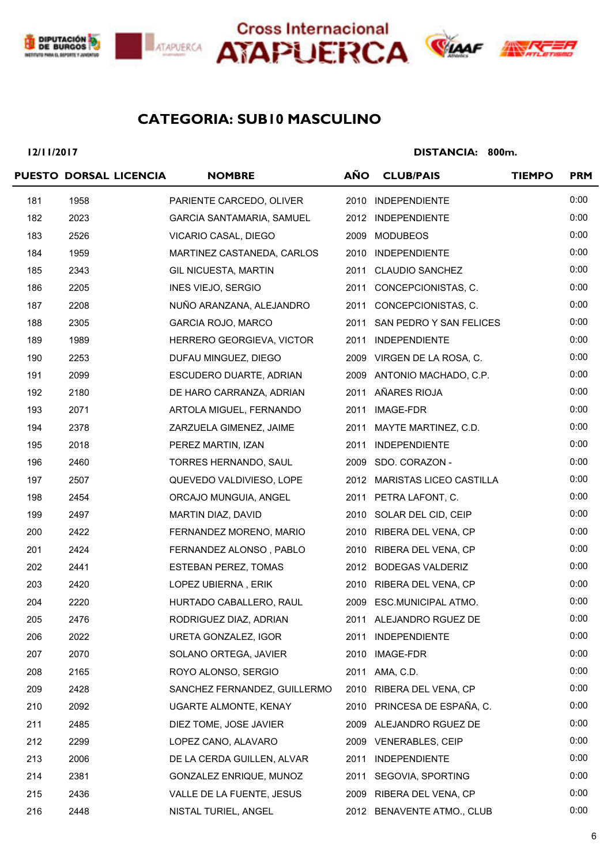







### **SUB10 MASCULINO CATEGORIA:**

**12/11/2017**

|     | PUESTO DORSAL LICENCIA | <b>NOMBRE</b>                | <b>AÑO</b> | <b>CLUB/PAIS</b>             | <b>TIEMPO</b> | <b>PRM</b> |
|-----|------------------------|------------------------------|------------|------------------------------|---------------|------------|
| 181 | 1958                   | PARIENTE CARCEDO, OLIVER     |            | 2010 INDEPENDIENTE           |               | 0:00       |
| 182 | 2023                   | GARCIA SANTAMARIA, SAMUEL    |            | 2012 INDEPENDIENTE           |               | 0:00       |
| 183 | 2526                   | VICARIO CASAL, DIEGO         |            | 2009 MODUBEOS                |               | 0:00       |
| 184 | 1959                   | MARTINEZ CASTANEDA, CARLOS   |            | 2010 INDEPENDIENTE           |               | 0:00       |
| 185 | 2343                   | GIL NICUESTA, MARTIN         |            | 2011 CLAUDIO SANCHEZ         |               | 0:00       |
| 186 | 2205                   | INES VIEJO, SERGIO           |            | 2011 CONCEPCIONISTAS, C.     |               | 0:00       |
| 187 | 2208                   | NUÑO ARANZANA, ALEJANDRO     |            | 2011 CONCEPCIONISTAS, C.     |               | 0:00       |
| 188 | 2305                   | GARCIA ROJO, MARCO           |            | 2011 SAN PEDRO Y SAN FELICES |               | 0:00       |
| 189 | 1989                   | HERRERO GEORGIEVA, VICTOR    |            | 2011 INDEPENDIENTE           |               | 0:00       |
| 190 | 2253                   | DUFAU MINGUEZ, DIEGO         |            | 2009 VIRGEN DE LA ROSA, C.   |               | 0:00       |
| 191 | 2099                   | ESCUDERO DUARTE, ADRIAN      |            | 2009 ANTONIO MACHADO, C.P.   |               | 0:00       |
| 192 | 2180                   | DE HARO CARRANZA, ADRIAN     |            | 2011 AÑARES RIOJA            |               | 0:00       |
| 193 | 2071                   | ARTOLA MIGUEL, FERNANDO      |            | 2011 IMAGE-FDR               |               | 0:00       |
| 194 | 2378                   | ZARZUELA GIMENEZ, JAIME      |            | 2011 MAYTE MARTINEZ, C.D.    |               | 0:00       |
| 195 | 2018                   | PEREZ MARTIN, IZAN           |            | 2011 INDEPENDIENTE           |               | 0:00       |
| 196 | 2460                   | TORRES HERNANDO, SAUL        |            | 2009 SDO. CORAZON -          |               | 0:00       |
| 197 | 2507                   | QUEVEDO VALDIVIESO, LOPE     |            | 2012 MARISTAS LICEO CASTILLA |               | 0:00       |
| 198 | 2454                   | ORCAJO MUNGUIA, ANGEL        |            | 2011 PETRA LAFONT, C.        |               | 0:00       |
| 199 | 2497                   | MARTIN DIAZ, DAVID           |            | 2010 SOLAR DEL CID, CEIP     |               | 0:00       |
| 200 | 2422                   | FERNANDEZ MORENO, MARIO      |            | 2010 RIBERA DEL VENA, CP     |               | 0:00       |
| 201 | 2424                   | FERNANDEZ ALONSO, PABLO      |            | 2010 RIBERA DEL VENA, CP     |               | 0:00       |
| 202 | 2441                   | ESTEBAN PEREZ, TOMAS         |            | 2012 BODEGAS VALDERIZ        |               | 0:00       |
| 203 | 2420                   | LOPEZ UBIERNA, ERIK          |            | 2010 RIBERA DEL VENA, CP     |               | 0:00       |
| 204 | 2220                   | HURTADO CABALLERO, RAUL      |            | 2009 ESC.MUNICIPAL ATMO.     |               | 0:00       |
| 205 | 2476                   | RODRIGUEZ DIAZ, ADRIAN       |            | 2011 ALEJANDRO RGUEZ DE      |               | 0:00       |
| 206 | 2022                   | URETA GONZALEZ, IGOR         | 2011       | <b>INDEPENDIENTE</b>         |               | 0:00       |
| 207 | 2070                   | SOLANO ORTEGA, JAVIER        | 2010       | IMAGE-FDR                    |               | 0:00       |
| 208 | 2165                   | ROYO ALONSO, SERGIO          |            | 2011 AMA, C.D.               |               | 0:00       |
| 209 | 2428                   | SANCHEZ FERNANDEZ, GUILLERMO |            | 2010 RIBERA DEL VENA, CP     |               | 0:00       |
| 210 | 2092                   | UGARTE ALMONTE, KENAY        |            | 2010 PRINCESA DE ESPAÑA, C.  |               | 0:00       |
| 211 | 2485                   | DIEZ TOME, JOSE JAVIER       |            | 2009 ALEJANDRO RGUEZ DE      |               | 0:00       |
| 212 | 2299                   | LOPEZ CANO, ALAVARO          |            | 2009 VENERABLES, CEIP        |               | 0:00       |
| 213 | 2006                   | DE LA CERDA GUILLEN, ALVAR   | 2011       | <b>INDEPENDIENTE</b>         |               | 0:00       |
| 214 | 2381                   | GONZALEZ ENRIQUE, MUNOZ      | 2011       | SEGOVIA, SPORTING            |               | 0:00       |
| 215 | 2436                   | VALLE DE LA FUENTE, JESUS    |            | 2009 RIBERA DEL VENA, CP     |               | 0:00       |
| 216 | 2448                   | NISTAL TURIEL, ANGEL         |            | 2012 BENAVENTE ATMO., CLUB   |               | 0:00       |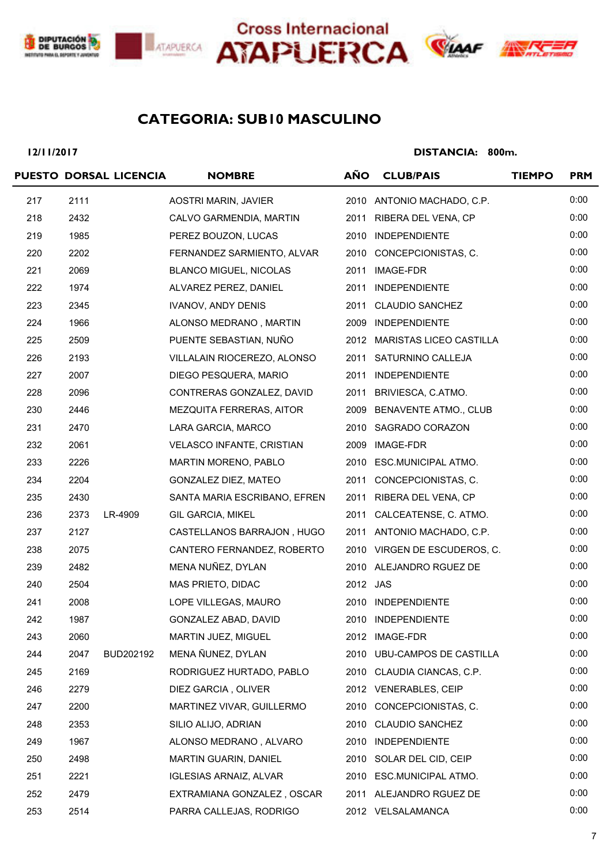





### **SUB10 MASCULINO CATEGORIA:**

**12/11/2017**

|     |      | PUESTO DORSAL LICENCIA | <b>NOMBRE</b>                    | <b>AÑO</b> | <b>CLUB/PAIS</b>              | <b>TIEMPO</b> | <b>PRM</b> |
|-----|------|------------------------|----------------------------------|------------|-------------------------------|---------------|------------|
| 217 | 2111 |                        | AOSTRI MARIN, JAVIER             |            | 2010 ANTONIO MACHADO, C.P.    |               | 0:00       |
| 218 | 2432 |                        | CALVO GARMENDIA, MARTIN          |            | 2011 RIBERA DEL VENA, CP      |               | 0:00       |
| 219 | 1985 |                        | PEREZ BOUZON, LUCAS              |            | 2010 INDEPENDIENTE            |               | 0:00       |
| 220 | 2202 |                        | FERNANDEZ SARMIENTO, ALVAR       |            | 2010 CONCEPCIONISTAS, C.      |               | 0:00       |
| 221 | 2069 |                        | <b>BLANCO MIGUEL, NICOLAS</b>    |            | 2011 IMAGE-FDR                |               | 0:00       |
| 222 | 1974 |                        | ALVAREZ PEREZ, DANIEL            |            | 2011 INDEPENDIENTE            |               | 0:00       |
| 223 | 2345 |                        | <b>IVANOV, ANDY DENIS</b>        |            | 2011 CLAUDIO SANCHEZ          |               | 0:00       |
| 224 | 1966 |                        | ALONSO MEDRANO, MARTIN           |            | 2009 INDEPENDIENTE            |               | 0:00       |
| 225 | 2509 |                        | PUENTE SEBASTIAN, NUÑO           |            | 2012 MARISTAS LICEO CASTILLA  |               | 0:00       |
| 226 | 2193 |                        | VILLALAIN RIOCEREZO, ALONSO      |            | 2011 SATURNINO CALLEJA        |               | 0:00       |
| 227 | 2007 |                        | DIEGO PESQUERA, MARIO            |            | 2011 INDEPENDIENTE            |               | 0:00       |
| 228 | 2096 |                        | CONTRERAS GONZALEZ, DAVID        |            | 2011 BRIVIESCA, C.ATMO.       |               | 0:00       |
| 230 | 2446 |                        | MEZQUITA FERRERAS, AITOR         |            | 2009 BENAVENTE ATMO., CLUB    |               | 0:00       |
| 231 | 2470 |                        | LARA GARCIA, MARCO               |            | 2010 SAGRADO CORAZON          |               | 0:00       |
| 232 | 2061 |                        | <b>VELASCO INFANTE, CRISTIAN</b> |            | 2009 IMAGE-FDR                |               | 0:00       |
| 233 | 2226 |                        | MARTIN MORENO, PABLO             |            | 2010 ESC.MUNICIPAL ATMO.      |               | 0:00       |
| 234 | 2204 |                        | GONZALEZ DIEZ, MATEO             |            | 2011 CONCEPCIONISTAS, C.      |               | 0:00       |
| 235 | 2430 |                        | SANTA MARIA ESCRIBANO, EFREN     |            | 2011 RIBERA DEL VENA, CP      |               | 0:00       |
| 236 | 2373 | LR-4909                | <b>GIL GARCIA, MIKEL</b>         |            | 2011 CALCEATENSE, C. ATMO.    |               | 0:00       |
| 237 | 2127 |                        | CASTELLANOS BARRAJON, HUGO       |            | 2011 ANTONIO MACHADO, C.P.    |               | 0:00       |
| 238 | 2075 |                        | CANTERO FERNANDEZ, ROBERTO       |            | 2010 VIRGEN DE ESCUDEROS, C.  |               | 0:00       |
| 239 | 2482 |                        | MENA NUÑEZ, DYLAN                |            | 2010 ALEJANDRO RGUEZ DE       |               | 0:00       |
| 240 | 2504 |                        | MAS PRIETO, DIDAC                | 2012 JAS   |                               |               | 0:00       |
| 241 | 2008 |                        | LOPE VILLEGAS, MAURO             |            | 2010 INDEPENDIENTE            |               | 0:00       |
| 242 | 1987 |                        | GONZALEZ ABAD, DAVID             |            | 2010 INDEPENDIENTE            |               | 0:00       |
| 243 | 2060 |                        | MARTIN JUEZ, MIGUEL              |            | 2012 IMAGE-FDR                |               | 0:00       |
| 244 | 2047 | BUD202192              | MENA ÑUNEZ, DYLAN                | 2010       | <b>UBU-CAMPOS DE CASTILLA</b> |               | 0:00       |
| 245 | 2169 |                        | RODRIGUEZ HURTADO, PABLO         |            | 2010 CLAUDIA CIANCAS, C.P.    |               | 0:00       |
| 246 | 2279 |                        | DIEZ GARCIA, OLIVER              |            | 2012 VENERABLES, CEIP         |               | 0:00       |
| 247 | 2200 |                        | MARTINEZ VIVAR, GUILLERMO        | 2010       | CONCEPCIONISTAS, C.           |               | 0:00       |
| 248 | 2353 |                        | SILIO ALIJO, ADRIAN              | 2010       | <b>CLAUDIO SANCHEZ</b>        |               | 0:00       |
| 249 | 1967 |                        | ALONSO MEDRANO, ALVARO           | 2010       | INDEPENDIENTE                 |               | 0:00       |
| 250 | 2498 |                        | <b>MARTIN GUARIN, DANIEL</b>     |            | 2010 SOLAR DEL CID, CEIP      |               | 0:00       |
| 251 | 2221 |                        | <b>IGLESIAS ARNAIZ, ALVAR</b>    |            | 2010 ESC.MUNICIPAL ATMO.      |               | 0:00       |
| 252 | 2479 |                        | EXTRAMIANA GONZALEZ, OSCAR       |            | 2011 ALEJANDRO RGUEZ DE       |               | 0:00       |
| 253 | 2514 |                        | PARRA CALLEJAS, RODRIGO          |            | 2012 VELSALAMANCA             |               | 0:00       |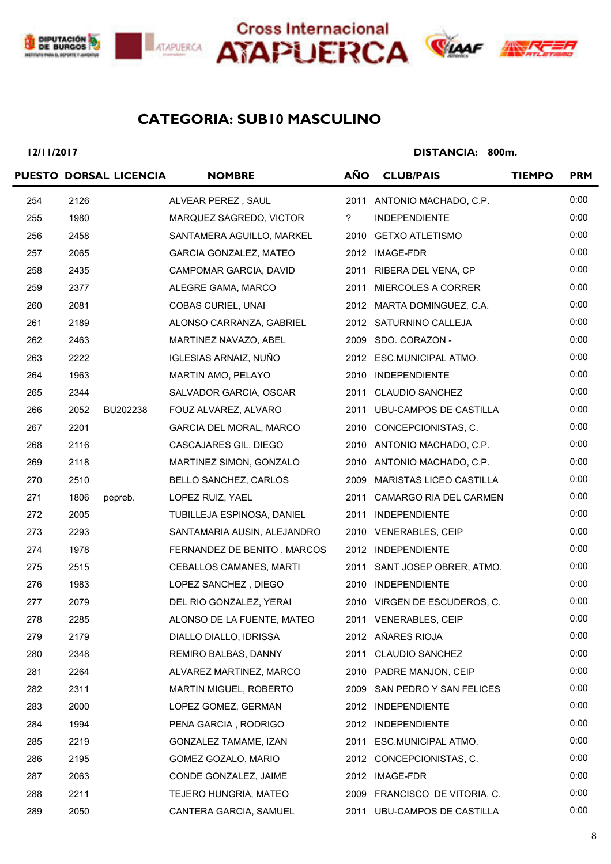





### **SUB10 MASCULINO CATEGORIA:**

**12/11/2017**

|     |      | PUESTO DORSAL LICENCIA | <b>NOMBRE</b>               | <b>AÑO</b>     | <b>CLUB/PAIS</b>              | <b>TIEMPO</b> | <b>PRM</b> |
|-----|------|------------------------|-----------------------------|----------------|-------------------------------|---------------|------------|
| 254 | 2126 |                        | ALVEAR PEREZ, SAUL          |                | 2011 ANTONIO MACHADO, C.P.    |               | 0:00       |
| 255 | 1980 |                        | MARQUEZ SAGREDO, VICTOR     | $\overline{?}$ | <b>INDEPENDIENTE</b>          |               | 0:00       |
| 256 | 2458 |                        | SANTAMERA AGUILLO, MARKEL   |                | 2010 GETXO ATLETISMO          |               | 0:00       |
| 257 | 2065 |                        | GARCIA GONZALEZ, MATEO      |                | 2012 IMAGE-FDR                |               | 0:00       |
| 258 | 2435 |                        | CAMPOMAR GARCIA, DAVID      |                | 2011 RIBERA DEL VENA, CP      |               | 0:00       |
| 259 | 2377 |                        | ALEGRE GAMA, MARCO          |                | 2011 MIERCOLES A CORRER       |               | 0:00       |
| 260 | 2081 |                        | COBAS CURIEL, UNAI          |                | 2012 MARTA DOMINGUEZ, C.A.    |               | 0:00       |
| 261 | 2189 |                        | ALONSO CARRANZA, GABRIEL    |                | 2012 SATURNINO CALLEJA        |               | 0:00       |
| 262 | 2463 |                        | MARTINEZ NAVAZO, ABEL       |                | 2009 SDO. CORAZON -           |               | 0:00       |
| 263 | 2222 |                        | IGLESIAS ARNAIZ, NUÑO       |                | 2012 ESC.MUNICIPAL ATMO.      |               | 0:00       |
| 264 | 1963 |                        | MARTIN AMO, PELAYO          |                | 2010 INDEPENDIENTE            |               | 0:00       |
| 265 | 2344 |                        | SALVADOR GARCIA, OSCAR      |                | 2011 CLAUDIO SANCHEZ          |               | 0:00       |
| 266 | 2052 | BU202238               | FOUZ ALVAREZ, ALVARO        |                | 2011 UBU-CAMPOS DE CASTILLA   |               | 0:00       |
| 267 | 2201 |                        | GARCIA DEL MORAL, MARCO     |                | 2010 CONCEPCIONISTAS, C.      |               | 0:00       |
| 268 | 2116 |                        | CASCAJARES GIL, DIEGO       |                | 2010 ANTONIO MACHADO, C.P.    |               | 0:00       |
| 269 | 2118 |                        | MARTINEZ SIMON, GONZALO     |                | 2010 ANTONIO MACHADO, C.P.    |               | 0:00       |
| 270 | 2510 |                        | BELLO SANCHEZ, CARLOS       |                | 2009 MARISTAS LICEO CASTILLA  |               | 0:00       |
| 271 | 1806 | pepreb.                | LOPEZ RUIZ, YAEL            |                | 2011 CAMARGO RIA DEL CARMEN   |               | 0:00       |
| 272 | 2005 |                        | TUBILLEJA ESPINOSA, DANIEL  |                | 2011 INDEPENDIENTE            |               | 0:00       |
| 273 | 2293 |                        | SANTAMARIA AUSIN, ALEJANDRO |                | 2010 VENERABLES, CEIP         |               | 0:00       |
| 274 | 1978 |                        | FERNANDEZ DE BENITO, MARCOS |                | 2012 INDEPENDIENTE            |               | 0:00       |
| 275 | 2515 |                        | CEBALLOS CAMANES, MARTI     |                | 2011 SANT JOSEP OBRER, ATMO.  |               | 0:00       |
| 276 | 1983 |                        | LOPEZ SANCHEZ, DIEGO        |                | 2010 INDEPENDIENTE            |               | 0:00       |
| 277 | 2079 |                        | DEL RIO GONZALEZ, YERAI     |                | 2010 VIRGEN DE ESCUDEROS, C.  |               | 0:00       |
| 278 | 2285 |                        | ALONSO DE LA FUENTE, MATEO  |                | 2011 VENERABLES, CEIP         |               | 0:00       |
| 279 | 2179 |                        | DIALLO DIALLO, IDRISSA      |                | 2012 AÑARES RIOJA             |               | 0:00       |
| 280 | 2348 |                        | REMIRO BALBAS, DANNY        | 2011           | <b>CLAUDIO SANCHEZ</b>        |               | 0:00       |
| 281 | 2264 |                        | ALVAREZ MARTINEZ, MARCO     |                | 2010 PADRE MANJON, CEIP       |               | 0:00       |
| 282 | 2311 |                        | MARTIN MIGUEL, ROBERTO      | 2009           | SAN PEDRO Y SAN FELICES       |               | 0:00       |
| 283 | 2000 |                        | LOPEZ GOMEZ, GERMAN         |                | 2012 INDEPENDIENTE            |               | 0:00       |
| 284 | 1994 |                        | PENA GARCIA, RODRIGO        |                | 2012 INDEPENDIENTE            |               | 0:00       |
| 285 | 2219 |                        | GONZALEZ TAMAME, IZAN       | 2011           | ESC.MUNICIPAL ATMO.           |               | 0:00       |
| 286 | 2195 |                        | GOMEZ GOZALO, MARIO         |                | 2012 CONCEPCIONISTAS, C.      |               | 0:00       |
| 287 | 2063 |                        | CONDE GONZALEZ, JAIME       |                | 2012 IMAGE-FDR                |               | 0:00       |
| 288 | 2211 |                        | TEJERO HUNGRIA, MATEO       |                | 2009 FRANCISCO DE VITORIA, C. |               | 0:00       |
| 289 | 2050 |                        | CANTERA GARCIA, SAMUEL      |                | 2011 UBU-CAMPOS DE CASTILLA   |               | 0:00       |
|     |      |                        |                             |                |                               |               |            |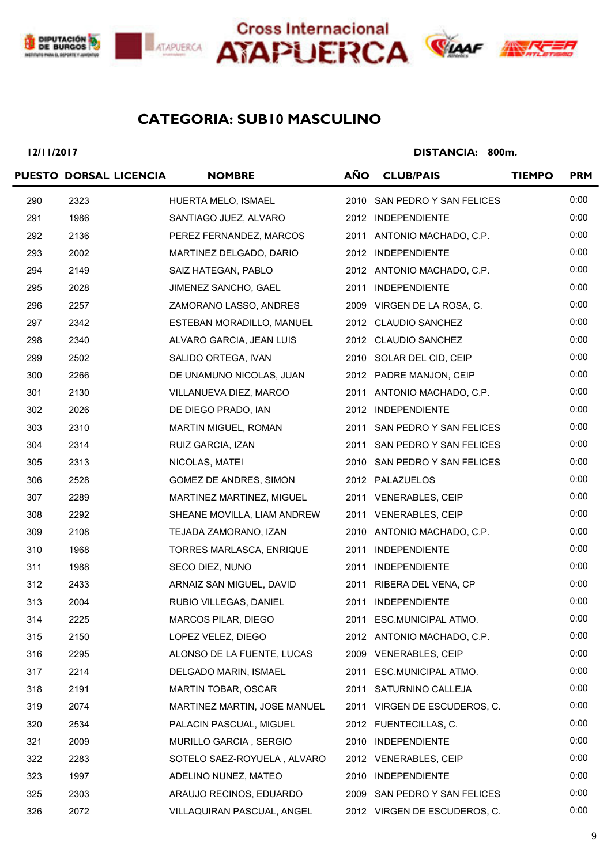





### **SUB10 MASCULINO CATEGORIA:**

**12/11/2017**

|     | PUESTO DORSAL LICENCIA | <b>NOMBRE</b>                | <b>AÑO</b> | <b>CLUB/PAIS</b>             | <b>TIEMPO</b> | <b>PRM</b> |
|-----|------------------------|------------------------------|------------|------------------------------|---------------|------------|
| 290 | 2323                   | HUERTA MELO, ISMAEL          |            | 2010 SAN PEDRO Y SAN FELICES |               | 0:00       |
| 291 | 1986                   | SANTIAGO JUEZ, ALVARO        |            | 2012 INDEPENDIENTE           |               | 0:00       |
| 292 | 2136                   | PEREZ FERNANDEZ, MARCOS      |            | 2011 ANTONIO MACHADO, C.P.   |               | 0:00       |
| 293 | 2002                   | MARTINEZ DELGADO, DARIO      |            | 2012 INDEPENDIENTE           |               | 0:00       |
| 294 | 2149                   | SAIZ HATEGAN, PABLO          |            | 2012 ANTONIO MACHADO, C.P.   |               | 0:00       |
| 295 | 2028                   | JIMENEZ SANCHO, GAEL         |            | 2011 INDEPENDIENTE           |               | 0:00       |
| 296 | 2257                   | ZAMORANO LASSO, ANDRES       |            | 2009 VIRGEN DE LA ROSA, C.   |               | 0:00       |
| 297 | 2342                   | ESTEBAN MORADILLO, MANUEL    |            | 2012 CLAUDIO SANCHEZ         |               | 0:00       |
| 298 | 2340                   | ALVARO GARCIA, JEAN LUIS     |            | 2012 CLAUDIO SANCHEZ         |               | 0:00       |
| 299 | 2502                   | SALIDO ORTEGA, IVAN          |            | 2010 SOLAR DEL CID, CEIP     |               | 0:00       |
| 300 | 2266                   | DE UNAMUNO NICOLAS, JUAN     |            | 2012 PADRE MANJON, CEIP      |               | 0:00       |
| 301 | 2130                   | VILLANUEVA DIEZ, MARCO       |            | 2011 ANTONIO MACHADO, C.P.   |               | 0:00       |
| 302 | 2026                   | DE DIEGO PRADO, IAN          |            | 2012 INDEPENDIENTE           |               | 0:00       |
| 303 | 2310                   | MARTIN MIGUEL, ROMAN         |            | 2011 SAN PEDRO Y SAN FELICES |               | 0:00       |
| 304 | 2314                   | RUIZ GARCIA, IZAN            |            | 2011 SAN PEDRO Y SAN FELICES |               | 0:00       |
| 305 | 2313                   | NICOLAS, MATEI               |            | 2010 SAN PEDRO Y SAN FELICES |               | 0:00       |
| 306 | 2528                   | GOMEZ DE ANDRES, SIMON       |            | 2012 PALAZUELOS              |               | 0:00       |
| 307 | 2289                   | MARTINEZ MARTINEZ, MIGUEL    |            | 2011 VENERABLES, CEIP        |               | 0:00       |
| 308 | 2292                   | SHEANE MOVILLA, LIAM ANDREW  |            | 2011 VENERABLES, CEIP        |               | 0:00       |
| 309 | 2108                   | TEJADA ZAMORANO, IZAN        |            | 2010 ANTONIO MACHADO, C.P.   |               | 0:00       |
| 310 | 1968                   | TORRES MARLASCA, ENRIQUE     |            | 2011 INDEPENDIENTE           |               | 0:00       |
| 311 | 1988                   | SECO DIEZ, NUNO              |            | 2011 INDEPENDIENTE           |               | 0:00       |
| 312 | 2433                   | ARNAIZ SAN MIGUEL, DAVID     |            | 2011 RIBERA DEL VENA, CP     |               | 0:00       |
| 313 | 2004                   | RUBIO VILLEGAS, DANIEL       |            | 2011 INDEPENDIENTE           |               | 0:00       |
| 314 | 2225                   | MARCOS PILAR, DIEGO          |            | 2011 ESC.MUNICIPAL ATMO.     |               | 0:00       |
| 315 | 2150                   | LOPEZ VELEZ, DIEGO           |            | 2012 ANTONIO MACHADO, C.P.   |               | 0:00       |
| 316 | 2295                   | ALONSO DE LA FUENTE, LUCAS   |            | 2009 VENERABLES, CEIP        |               | 0:00       |
| 317 | 2214                   | DELGADO MARIN, ISMAEL        |            | 2011 ESC.MUNICIPAL ATMO.     |               | 0:00       |
| 318 | 2191                   | MARTIN TOBAR, OSCAR          |            | 2011 SATURNINO CALLEJA       |               | 0:00       |
| 319 | 2074                   | MARTINEZ MARTIN, JOSE MANUEL |            | 2011 VIRGEN DE ESCUDEROS, C. |               | 0:00       |
| 320 | 2534                   | PALACIN PASCUAL, MIGUEL      |            | 2012 FUENTECILLAS, C.        |               | 0:00       |
| 321 | 2009                   | MURILLO GARCIA, SERGIO       | 2010       | <b>INDEPENDIENTE</b>         |               | 0:00       |
| 322 | 2283                   | SOTELO SAEZ-ROYUELA, ALVARO  |            | 2012 VENERABLES, CEIP        |               | 0:00       |
| 323 | 1997                   | ADELINO NUNEZ, MATEO         |            | 2010 INDEPENDIENTE           |               | 0:00       |
| 325 | 2303                   | ARAUJO RECINOS, EDUARDO      |            | 2009 SAN PEDRO Y SAN FELICES |               | 0:00       |
| 326 | 2072                   | VILLAQUIRAN PASCUAL, ANGEL   |            | 2012 VIRGEN DE ESCUDEROS, C. |               | 0:00       |